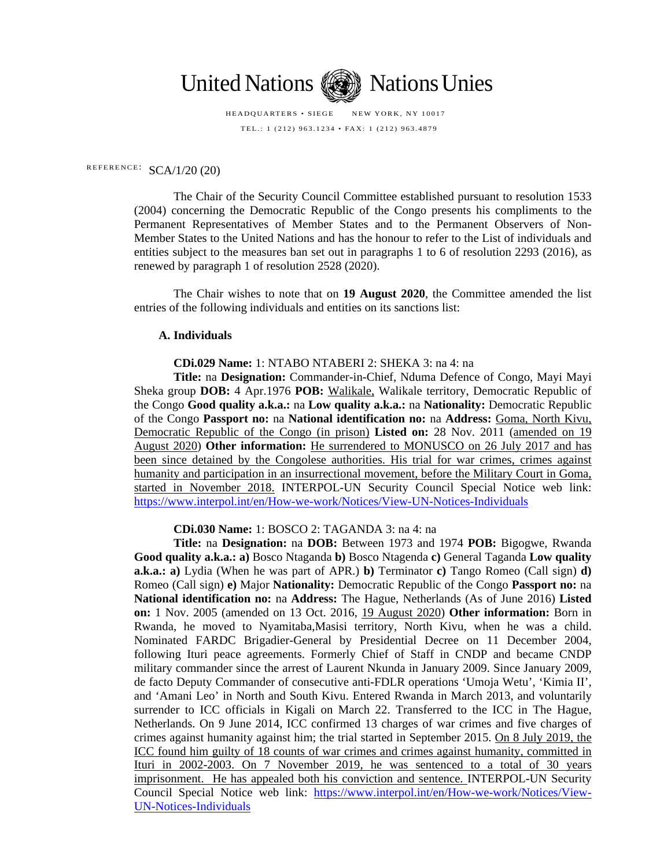

HEADQUARTERS • SIEGE NEW YORK, NY 10017 TEL.: 1 (212) 963.1234 • FAX: 1 (212) 963.4879

# REFERENCE:  $SCA/1/20$  (20)

The Chair of the Security Council Committee established pursuant to resolution 1533 (2004) concerning the Democratic Republic of the Congo presents his compliments to the Permanent Representatives of Member States and to the Permanent Observers of Non-Member States to the United Nations and has the honour to refer to the List of individuals and entities subject to the measures ban set out in paragraphs 1 to 6 of resolution 2293 (2016), as renewed by paragraph 1 of resolution 2528 (2020).

The Chair wishes to note that on **19 August 2020**, the Committee amended the list entries of the following individuals and entities on its sanctions list:

### **A. Individuals**

**CDi.029 Name:** 1: NTABO NTABERI 2: SHEKA 3: na 4: na

**Title:** na **Designation:** Commander-in-Chief, Nduma Defence of Congo, Mayi Mayi Sheka group **DOB:** 4 Apr.1976 **POB:** Walikale, Walikale territory, Democratic Republic of the Congo **Good quality a.k.a.:** na **Low quality a.k.a.:** na **Nationality:** Democratic Republic of the Congo **Passport no:** na **National identification no:** na **Address:** Goma, North Kivu, Democratic Republic of the Congo (in prison) **Listed on:** 28 Nov. 2011 (amended on 19 August 2020) **Other information:** He surrendered to MONUSCO on 26 July 2017 and has been since detained by the Congolese authorities. His trial for war crimes, crimes against humanity and participation in an insurrectional movement, before the Military Court in Goma, started in November 2018. INTERPOL-UN Security Council Special Notice web link: <https://www.interpol.int/en/How-we-work/Notices/View-UN-Notices-Individuals>

**CDi.030 Name:** 1: BOSCO 2: TAGANDA 3: na 4: na

**Title:** na **Designation:** na **DOB:** Between 1973 and 1974 **POB:** Bigogwe, Rwanda **Good quality a.k.a.: a)** Bosco Ntaganda **b)** Bosco Ntagenda **c)** General Taganda **Low quality a.k.a.: a)** Lydia (When he was part of APR.) **b)** Terminator **c)** Tango Romeo (Call sign) **d)** Romeo (Call sign) **e)** Major **Nationality:** Democratic Republic of the Congo **Passport no:** na **National identification no:** na **Address:** The Hague, Netherlands (As of June 2016) **Listed on:** 1 Nov. 2005 (amended on 13 Oct. 2016, 19 August 2020) **Other information:** Born in Rwanda, he moved to Nyamitaba,Masisi territory, North Kivu, when he was a child. Nominated FARDC Brigadier-General by Presidential Decree on 11 December 2004, following Ituri peace agreements. Formerly Chief of Staff in CNDP and became CNDP military commander since the arrest of Laurent Nkunda in January 2009. Since January 2009, de facto Deputy Commander of consecutive anti-FDLR operations 'Umoja Wetu', 'Kimia II', and 'Amani Leo' in North and South Kivu. Entered Rwanda in March 2013, and voluntarily surrender to ICC officials in Kigali on March 22. Transferred to the ICC in The Hague, Netherlands. On 9 June 2014, ICC confirmed 13 charges of war crimes and five charges of crimes against humanity against him; the trial started in September 2015. On 8 July 2019, the ICC found him guilty of 18 counts of war crimes and crimes against humanity, committed in Ituri in 2002-2003. On 7 November 2019, he was sentenced to a total of 30 years imprisonment. He has appealed both his conviction and sentence. INTERPOL-UN Security Council Special Notice web link: [https://www.interpol.int/en/How-we-work/Notices/View-](https://www.interpol.int/en/How-we-work/Notices/View-UN-Notices-Individuals)[UN-Notices-Individuals](https://www.interpol.int/en/How-we-work/Notices/View-UN-Notices-Individuals)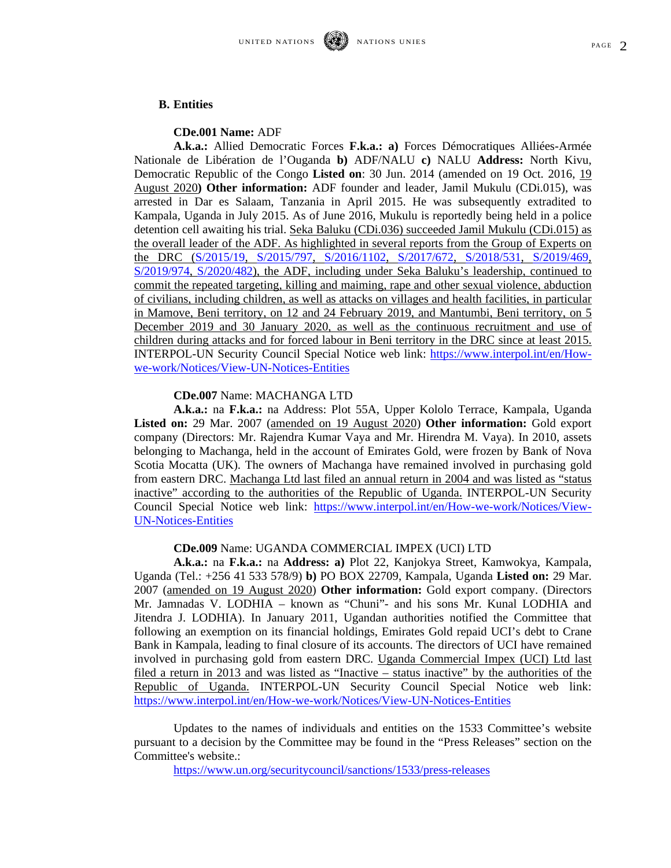#### **B. Entities**

#### **CDe.001 Name:** ADF

**A.k.a.:** Allied Democratic Forces **F.k.a.: a)** Forces Démocratiques Alliées-Armée Nationale de Libération de l'Ouganda **b)** ADF/NALU **c)** NALU **Address:** North Kivu, Democratic Republic of the Congo **Listed on**: 30 Jun. 2014 (amended on 19 Oct. 2016, 19 August 2020**) Other information:** ADF founder and leader, Jamil Mukulu (CDi.015), was arrested in Dar es Salaam, Tanzania in April 2015. He was subsequently extradited to Kampala, Uganda in July 2015. As of June 2016, Mukulu is reportedly being held in a police detention cell awaiting his trial. Seka Baluku (CDi.036) succeeded Jamil Mukulu (CDi.015) as the overall leader of the ADF. As highlighted in several reports from the Group of Experts on the DRC [\(S/2015/19,](https://www.undocs.org/S/2015/19) [S/2015/797,](https://www.undocs.org/S/2015/797) [S/2016/1102,](https://www.undocs.org/S/2016/1102) [S/2017/672,](https://www.undocs.org/S/2017/672/Rev.1) [S/2018/531,](https://www.undocs.org/S/2018/531) [S/2019/469,](https://undocs.org/S/2019/469) [S/2019/974,](https://www.undocs.org/S/2019/974) [S/2020/482\)](https://www.undocs.org/S/2020/482), the ADF, including under Seka Baluku's leadership, continued to commit the repeated targeting, killing and maiming, rape and other sexual violence, abduction of civilians, including children, as well as attacks on villages and health facilities, in particular in Mamove, Beni territory, on 12 and 24 February 2019, and Mantumbi, Beni territory, on 5 December 2019 and 30 January 2020, as well as the continuous recruitment and use of children during attacks and for forced labour in Beni territory in the DRC since at least 2015. INTERPOL-UN Security Council Special Notice web link: [https://www.interpol.int/en/How](https://www.interpol.int/en/How-we-work/Notices/View-UN-Notices-Entities)[we-work/Notices/View-UN-Notices-Entities](https://www.interpol.int/en/How-we-work/Notices/View-UN-Notices-Entities)

### **CDe.007** Name: MACHANGA LTD

**A.k.a.:** na **F.k.a.:** na Address: Plot 55A, Upper Kololo Terrace, Kampala, Uganda **Listed on:** 29 Mar. 2007 (amended on 19 August 2020) **Other information:** Gold export company (Directors: Mr. Rajendra Kumar Vaya and Mr. Hirendra M. Vaya). In 2010, assets belonging to Machanga, held in the account of Emirates Gold, were frozen by Bank of Nova Scotia Mocatta (UK). The owners of Machanga have remained involved in purchasing gold from eastern DRC. Machanga Ltd last filed an annual return in 2004 and was listed as "status inactive" according to the authorities of the Republic of Uganda. INTERPOL-UN Security Council Special Notice web link: [https://www.interpol.int/en/How-we-work/Notices/View-](https://www.interpol.int/en/How-we-work/Notices/View-UN-Notices-Entities)[UN-Notices-Entities](https://www.interpol.int/en/How-we-work/Notices/View-UN-Notices-Entities)

## **CDe.009** Name: UGANDA COMMERCIAL IMPEX (UCI) LTD

**A.k.a.:** na **F.k.a.:** na **Address: a)** Plot 22, Kanjokya Street, Kamwokya, Kampala, Uganda (Tel.: +256 41 533 578/9) **b)** PO BOX 22709, Kampala, Uganda **Listed on:** 29 Mar. 2007 (amended on 19 August 2020) **Other information:** Gold export company. (Directors Mr. Jamnadas V. LODHIA – known as "Chuni"- and his sons Mr. Kunal LODHIA and Jitendra J. LODHIA). In January 2011, Ugandan authorities notified the Committee that following an exemption on its financial holdings, Emirates Gold repaid UCI's debt to Crane Bank in Kampala, leading to final closure of its accounts. The directors of UCI have remained involved in purchasing gold from eastern DRC. Uganda Commercial Impex (UCI) Ltd last filed a return in 2013 and was listed as "Inactive – status inactive" by the authorities of the Republic of Uganda. INTERPOL-UN Security Council Special Notice web link: <https://www.interpol.int/en/How-we-work/Notices/View-UN-Notices-Entities>

Updates to the names of individuals and entities on the 1533 Committee's website pursuant to a decision by the Committee may be found in the "Press Releases" section on the Committee's website.:

<https://www.un.org/securitycouncil/sanctions/1533/press-releases>